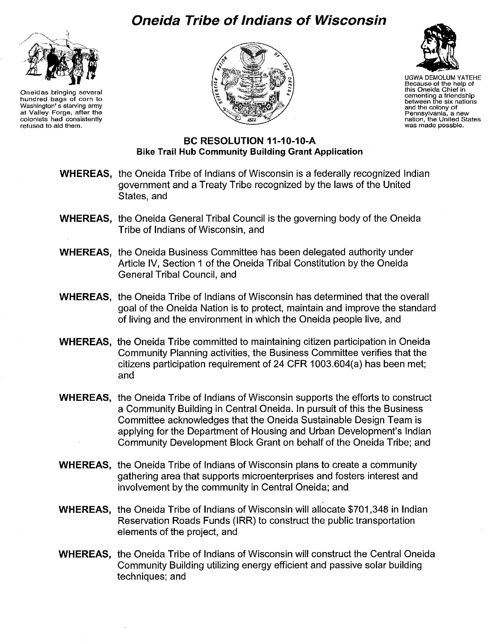## **Oneida Tribe of Indians of Wisconsin**



**Oneidas bringing several hundred bags of corn to Washington's starving army at Valley Forge, after the colonists had consistently refused to aid them.** 





UGWA DEMOLUM YATEHE **Because of the help of this Oneida Chief in cementing a friendship between the six nations and the colony of Pennsylvania, a new nation, the United States was made possble,** 

## **Be RESOLUTION 11-10-10-A Bike Trail Hub Community Building Grant Application**

- **WHEREAS,** the Oneida Tribe of Indians of Wisconsin is a federally recognized Indian government and a Treaty Tribe recognized by the laws of the United States, and
- **WHEREAS,** the Oneida General Tribal Council is the governing body of the Oneida Tribe of Indians of Wisconsin, and
- **WHEREAS,** the Oneida Business Committee has been delegated authority under Article IV, Section 1 of the Oneida Tribal Constitution by the Oneida General Tribal Council, and
- **WHEREAS,** the Oneida Tribe of Indians of Wisconsin has determined that the overall goal of the Oneida Nation is to protect, maintain and improve the standard of living and the environment in which the Oneida people live, and
- **WHEREAS,** the Oneida Tribe committed to maintaining citizen participation in Oneida Community Planning activities, the Business Committee verifies that the citizens participation requirement of 24 **CFR** 1003.604(a) has been met; and
- **WHEREAS,** the Oneida Tribe of Indians of Wisconsin supports the efforts to construct a Community Building in Central Oneida. In pursuit of this the Business Committee acknowledges that the Oneida Sustainable Design Team is applying for the Department of Housing and Urban Development's Indian Community Development Block Grant on behalf of the Oneida Tribe; and
- **WHEREAS,** the Oneida Tribe of Indians of Wisconsin plans to create a community gathering area that supports microenterprises and fosters interest and involvement by the community in Central Oneida; and
- **WHEREAS,** the Oneida Tribe of Indians of Wisconsin will allocate \$701,348 in Indian Reservation Roads Funds (IRR) to construct the public transportation elements of the project, and
- **WHEREAS,** the Oneida Tribe of Indians of Wisconsin will construct the Central Oneida Community Building utilizing energy efficient and passive solar building techniques; and